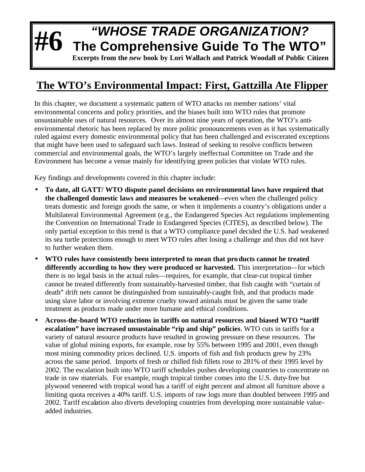## **#6** *"WHOSE TRADE ORGANIZATION?* **The Comprehensive Guide To The WTO"**

**Excerpts from the** *new* **book by Lori Wallach and Patrick Woodall of Public Citizen**

## **The WTO's Environmental Impact: First, Gattzilla Ate Flipper**

In this chapter, we document a systematic pattern of WTO attacks on member nations' vital environmental concerns and policy priorities, and the biases built into WTO rules that promote unsustainable uses of natural resources. Over its almost nine years of operation, the WTO's antienvironmental rhetoric has been replaced by more politic pronouncements even as it has systematically ruled against every domestic environmental policy that has been challenged and eviscerated exceptions that might have been used to safeguard such laws. Instead of seeking to resolve conflicts between commercial and environmental goals, the WTO's largely ineffectual Committee on Trade and the Environment has become a venue mainly for identifying green policies that violate WTO rules.

Key findings and developments covered in this chapter include:

- **To date, all GATT/ WTO dispute panel decisions on environmental laws have required that the challenged domestic laws and measures be weakened**—even when the challenged policy treats domestic and foreign goods the same, or when it implements a country's obligations under a Multilateral Environmental Agreement (e.g., the Endangered Species Act regulations implementing the Convention on International Trade in Endangered Species (CITES), as described below). The only partial exception to this trend is that a WTO compliance panel decided the U.S. had weakened its sea turtle protections enough to meet WTO rules after losing a challenge and thus did not have to further weaken them.
- **WTO rules have consistently been interpreted to mean that products cannot be treated differently according to how they were produced or harvested.** This interpretation—for which there is no legal basis in the actual rules—requires, for example, that clear-cut tropical timber cannot be treated differently from sustainably-harvested timber, that fish caught with "curtain of death" drift nets cannot be distinguished from sustainably-caught fish, and that products made using slave labor or involving extreme cruelty toward animals must be given the same trade treatment as products made under more humane and ethical conditions.
- **Across-the-board WTO reductions in tariffs on natural resources and biased WTO "tariff escalation" have increased unsustainable "rip and ship" policies**. WTO cuts in tariffs for a variety of natural resource products have resulted in growing pressure on these resources. The value of global mining exports, for example, rose by 55% between 1995 and 2001, even though most mining commodity prices declined. U.S. imports of fish and fish products grew by 23% across the same period. Imports of fresh or chilled fish fillets rose to 281% of their 1995 level by 2002. The escalation built into WTO tariff schedules pushes developing countries to concentrate on trade in raw materials. For example, rough tropical timber comes into the U.S. duty-free but plywood veneered with tropical wood has a tariff of eight percent and almost all furniture above a limiting quota receives a 40% tariff. U.S. imports of raw logs more than doubled between 1995 and 2002. Tariff escalation also diverts developing countries from developing more sustainable valueadded industries.